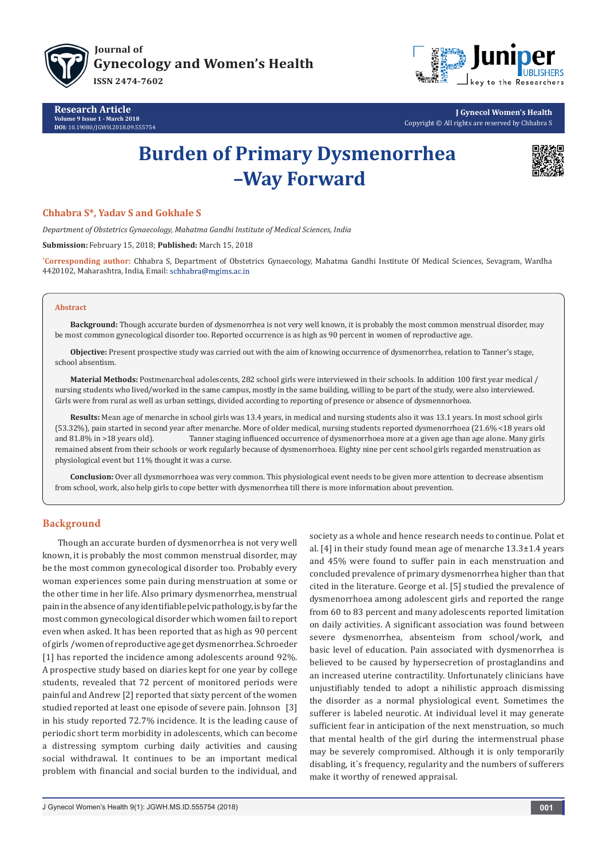





**J Gynecol Women's Health** Copyright © All rights are reserved by Chhabra S

# **Burden of Primary Dysmenorrhea –Way Forward**



## **Chhabra S\*, Yadav S and Gokhale S**

*Department of Obstetrics Gynaecology, Mahatma Gandhi Institute of Medical Sciences, India*

**Submission:** February 15, 2018; **Published:** March 15, 2018

**\* Corresponding author:** Chhabra S, Department of Obstetrics Gynaecology, Mahatma Gandhi Institute Of Medical Sciences, Sevagram, Wardha 4420102, Maharashtra, India, Email: schhabra@mgims.ac.in

#### **Abstract**

**Background:** Though accurate burden of dysmenorrhea is not very well known, it is probably the most common menstrual disorder, may be most common gynecological disorder too. Reported occurrence is as high as 90 percent in women of reproductive age.

**Objective:** Present prospective study was carried out with the aim of knowing occurrence of dysmenorrhea, relation to Tanner's stage, school absentism.

**Material Methods:** Postmenarcheal adolescents, 282 school girls were interviewed in their schools. In addition 100 first year medical / nursing students who lived/worked in the same campus, mostly in the same building, willing to be part of the study, were also interviewed. Girls were from rural as well as urban settings, divided according to reporting of presence or absence of dysmennorhoea.

**Results:** Mean age of menarche in school girls was 13.4 years, in medical and nursing students also it was 13.1 years. In most school girls (53.32%), pain started in second year after menarche. More of older medical, nursing students reported dysmenorrhoea (21.6% <18 years old and 81.8% in >18 years old). Tanner staging influenced occurrence of dysmenorrhoea more at a given age than age alone. Many girls remained absent from their schools or work regularly because of dysmenorrhoea. Eighty nine per cent school girls regarded menstruation as physiological event but 11% thought it was a curse.

**Conclusion:** Over all dysmenorrhoea was very common. This physiological event needs to be given more attention to decrease absentism from school, work, also help girls to cope better with dysmenorrhea till there is more information about prevention.

### **Background**

Though an accurate burden of dysmenorrhea is not very well known, it is probably the most common menstrual disorder, may be the most common gynecological disorder too. Probably every woman experiences some pain during menstruation at some or the other time in her life. Also primary dysmenorrhea, menstrual pain in the absence of any identifiable pelvic pathology, is by far the most common gynecological disorder which women fail to report even when asked. It has been reported that as high as 90 percent of girls /women of reproductive age get dysmenorrhea. Schroeder [1] has reported the incidence among adolescents around 92%. A prospective study based on diaries kept for one year by college students, revealed that 72 percent of monitored periods were painful and Andrew [2] reported that sixty percent of the women studied reported at least one episode of severe pain. Johnson [3] in his study reported 72.7% incidence. It is the leading cause of periodic short term morbidity in adolescents, which can become a distressing symptom curbing daily activities and causing social withdrawal. It continues to be an important medical problem with financial and social burden to the individual, and society as a whole and hence research needs to continue. Polat et al. [4] in their study found mean age of menarche 13.3±1.4 years and 45% were found to suffer pain in each menstruation and concluded prevalence of primary dysmenorrhea higher than that cited in the literature. George et al. [5] studied the prevalence of dysmenorrhoea among adolescent girls and reported the range from 60 to 83 percent and many adolescents reported limitation on daily activities. A significant association was found between severe dysmenorrhea, absenteism from school/work, and basic level of education. Pain associated with dysmenorrhea is believed to be caused by hypersecretion of prostaglandins and an increased uterine contractility. Unfortunately clinicians have unjustifiably tended to adopt a nihilistic approach dismissing the disorder as a normal physiological event. Sometimes the sufferer is labeled neurotic. At individual level it may generate sufficient fear in anticipation of the next menstruation, so much that mental health of the girl during the intermenstrual phase may be severely compromised. Although it is only temporarily disabling, it`s frequency, regularity and the numbers of sufferers make it worthy of renewed appraisal.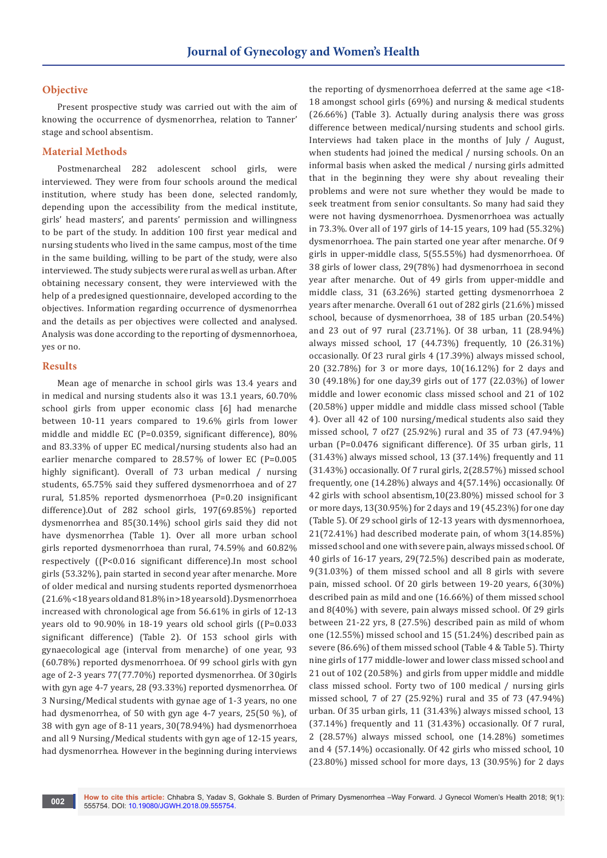### **Objective**

Present prospective study was carried out with the aim of knowing the occurrence of dysmenorrhea, relation to Tanner' stage and school absentism.

### **Material Methods**

Postmenarcheal 282 adolescent school girls, were interviewed. They were from four schools around the medical institution, where study has been done, selected randomly, depending upon the accessibility from the medical institute, girls' head masters', and parents' permission and willingness to be part of the study. In addition 100 first year medical and nursing students who lived in the same campus, most of the time in the same building, willing to be part of the study, were also interviewed. The study subjects were rural as well as urban. After obtaining necessary consent, they were interviewed with the help of a predesigned questionnaire, developed according to the objectives. Information regarding occurrence of dysmenorrhea and the details as per objectives were collected and analysed. Analysis was done according to the reporting of dysmennorhoea, yes or no.

### **Results**

Mean age of menarche in school girls was 13.4 years and in medical and nursing students also it was 13.1 years, 60.70% school girls from upper economic class [6] had menarche between 10-11 years compared to 19.6% girls from lower middle and middle EC (P=0.0359, significant difference), 80% and 83.33% of upper EC medical/nursing students also had an earlier menarche compared to 28.57% of lower EC (P=0.005 highly significant). Overall of 73 urban medical / nursing students, 65.75% said they suffered dysmenorrhoea and of 27 rural, 51.85% reported dysmenorrhoea (P=0.20 insignificant difference).Out of 282 school girls, 197(69.85%) reported dysmenorrhea and 85(30.14%) school girls said they did not have dysmenorrhea (Table 1). Over all more urban school girls reported dysmenorrhoea than rural, 74.59% and 60.82% respectively ((P<0.016 significant difference).In most school girls (53.32%), pain started in second year after menarche. More of older medical and nursing students reported dysmenorrhoea (21.6% <18 years old and 81.8% in >18 years old). Dysmenorrhoea increased with chronological age from 56.61% in girls of 12-13 years old to 90.90% in 18-19 years old school girls ((P=0.033 significant difference) (Table 2). Of 153 school girls with gynaecological age (interval from menarche) of one year, 93 (60.78%) reported dysmenorrhoea. Of 99 school girls with gyn age of 2-3 years 77(77.70%) reported dysmenorrhea. Of 30girls with gyn age 4-7 years, 28 (93.33%) reported dysmenorrhea. Of 3 Nursing/Medical students with gynae age of 1-3 years, no one had dysmenorrhea, of 50 with gyn age 4-7 years, 25(50 %), of 38 with gyn age of 8-11 years, 30(78.94%) had dysmenorrhoea and all 9 Nursing/Medical students with gyn age of 12-15 years, had dysmenorrhea. However in the beginning during interviews

the reporting of dysmenorrhoea deferred at the same age <18- 18 amongst school girls (69%) and nursing & medical students (26.66%) (Table 3). Actually during analysis there was gross difference between medical/nursing students and school girls. Interviews had taken place in the months of July / August, when students had joined the medical / nursing schools. On an informal basis when asked the medical / nursing girls admitted that in the beginning they were shy about revealing their problems and were not sure whether they would be made to seek treatment from senior consultants. So many had said they were not having dysmenorrhoea. Dysmenorrhoea was actually in 73.3%. Over all of 197 girls of 14-15 years, 109 had (55.32%) dysmenorrhoea. The pain started one year after menarche. Of 9 girls in upper-middle class, 5(55.55%) had dysmenorrhoea. Of 38 girls of lower class, 29(78%) had dysmenorrhoea in second year after menarche. Out of 49 girls from upper-middle and middle class, 31 (63.26%) started getting dysmenorrhoea 2 years after menarche. Overall 61 out of 282 girls (21.6%) missed school, because of dysmenorrhoea, 38 of 185 urban (20.54%) and 23 out of 97 rural (23.71%). Of 38 urban, 11 (28.94%) always missed school, 17 (44.73%) frequently, 10 (26.31%) occasionally. Of 23 rural girls 4 (17.39%) always missed school, 20 (32.78%) for 3 or more days, 10(16.12%) for 2 days and 30 (49.18%) for one day,39 girls out of 177 (22.03%) of lower middle and lower economic class missed school and 21 of 102 (20.58%) upper middle and middle class missed school (Table 4). Over all 42 of 100 nursing/medical students also said they missed school, 7 of27 (25.92%) rural and 35 of 73 (47.94%) urban (P=0.0476 significant difference). Of 35 urban girls, 11 (31.43%) always missed school, 13 (37.14%) frequently and 11 (31.43%) occasionally. Of 7 rural girls, 2(28.57%) missed school frequently, one (14.28%) always and 4(57.14%) occasionally. Of 42 girls with school absentism,10(23.80%) missed school for 3 or more days, 13(30.95%) for 2 days and 19 (45.23%) for one day (Table 5). Of 29 school girls of 12-13 years with dysmennorhoea, 21(72.41%) had described moderate pain, of whom 3(14.85%) missed school and one with severe pain, always missed school. Of 40 girls of 16-17 years, 29(72.5%) described pain as moderate, 9(31.03%) of them missed school and all 8 girls with severe pain, missed school. Of 20 girls between 19-20 years, 6(30%) described pain as mild and one (16.66%) of them missed school and 8(40%) with severe, pain always missed school. Of 29 girls between 21-22 yrs, 8 (27.5%) described pain as mild of whom one (12.55%) missed school and 15 (51.24%) described pain as severe (86.6%) of them missed school (Table 4 & Table 5). Thirty nine girls of 177 middle-lower and lower class missed school and 21 out of 102 (20.58%) and girls from upper middle and middle class missed school. Forty two of 100 medical / nursing girls missed school, 7 of 27 (25.92%) rural and 35 of 73 (47.94%) urban. Of 35 urban girls, 11 (31.43%) always missed school, 13 (37.14%) frequently and 11 (31.43%) occasionally. Of 7 rural, 2 (28.57%) always missed school, one (14.28%) sometimes and 4 (57.14%) occasionally. Of 42 girls who missed school, 10 (23.80%) missed school for more days, 13 (30.95%) for 2 days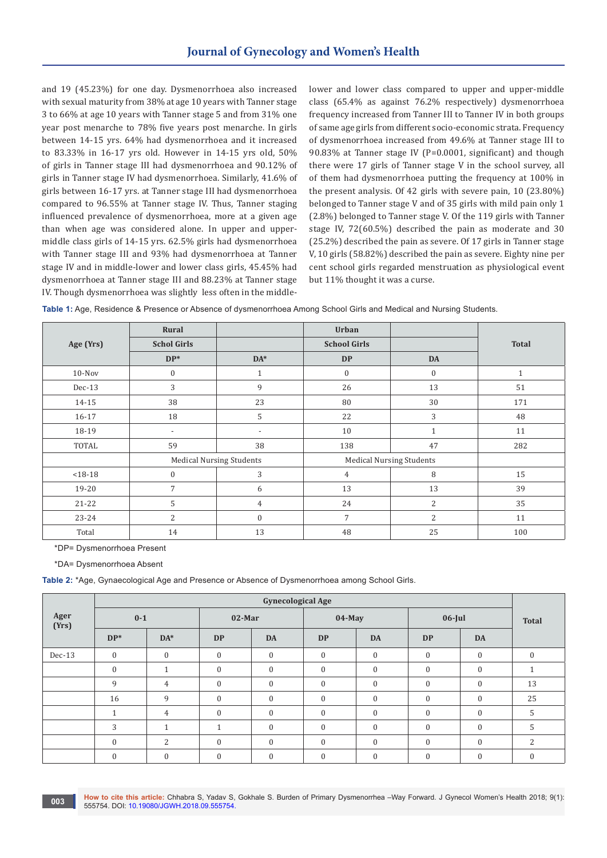and 19 (45.23%) for one day. Dysmenorrhoea also increased with sexual maturity from 38% at age 10 years with Tanner stage 3 to 66% at age 10 years with Tanner stage 5 and from 31% one year post menarche to 78% five years post menarche. In girls between 14-15 yrs. 64% had dysmenorrhoea and it increased to 83.33% in 16-17 yrs old. However in 14-15 yrs old, 50% of girls in Tanner stage III had dysmenorrhoea and 90.12% of girls in Tanner stage IV had dysmenorrhoea. Similarly, 41.6% of girls between 16-17 yrs. at Tanner stage III had dysmenorrhoea compared to 96.55% at Tanner stage IV. Thus, Tanner staging influenced prevalence of dysmenorrhoea, more at a given age than when age was considered alone. In upper and uppermiddle class girls of 14-15 yrs. 62.5% girls had dysmenorrhoea with Tanner stage III and 93% had dysmenorrhoea at Tanner stage IV and in middle-lower and lower class girls, 45.45% had dysmenorrhoea at Tanner stage III and 88.23% at Tanner stage IV. Though dysmenorrhoea was slightly less often in the middlelower and lower class compared to upper and upper-middle class (65.4% as against 76.2% respectively) dysmenorrhoea frequency increased from Tanner III to Tanner IV in both groups of same age girls from different socio-economic strata. Frequency of dysmenorrhoea increased from 49.6% at Tanner stage III to 90.83% at Tanner stage IV (P=0.0001, significant) and though there were 17 girls of Tanner stage V in the school survey, all of them had dysmenorrhoea putting the frequency at 100% in the present analysis. Of 42 girls with severe pain, 10 (23.80%) belonged to Tanner stage V and of 35 girls with mild pain only 1 (2.8%) belonged to Tanner stage V. Of the 119 girls with Tanner stage IV, 72(60.5%) described the pain as moderate and 30 (25.2%) described the pain as severe. Of 17 girls in Tanner stage V, 10 girls (58.82%) described the pain as severe. Eighty nine per cent school girls regarded menstruation as physiological event but 11% thought it was a curse.

| Table 1: Age, Residence & Presence or Absence of dysmenorrhoea Among School Girls and Medical and Nursing Students. |  |  |
|---------------------------------------------------------------------------------------------------------------------|--|--|
|                                                                                                                     |  |  |

|             | Rural                    |                                 | Urban               |                                 |              |  |
|-------------|--------------------------|---------------------------------|---------------------|---------------------------------|--------------|--|
| Age (Yrs)   | <b>Schol Girls</b>       |                                 | <b>School Girls</b> |                                 | <b>Total</b> |  |
|             | $DP*$                    | $DA*$                           | <b>DP</b>           | <b>DA</b>                       |              |  |
| $10-Nov$    | $\mathbf{0}$             |                                 | $\mathbf{0}$        | $\boldsymbol{0}$                | $\mathbf{1}$ |  |
| $Dec-13$    | 3                        | 9                               | 26                  | 13                              | 51           |  |
| 14-15       | 38                       | 23                              | 80                  | 30                              | 171          |  |
| $16 - 17$   | 18                       | 5                               | 22                  | 3                               | 48           |  |
| 18-19       | $\overline{\phantom{a}}$ | $\overline{\phantom{a}}$        | 10                  | $\mathbf{1}$                    | 11           |  |
| TOTAL       | 59                       | 38                              | 138                 | 47                              | 282          |  |
|             |                          | <b>Medical Nursing Students</b> |                     | <b>Medical Nursing Students</b> |              |  |
| $< 18 - 18$ | $\mathbf{0}$             | 3                               | $\overline{4}$      | 8                               | 15           |  |
| 19-20       | 7                        | 6                               | 13                  | 13                              | 39           |  |
| $21 - 22$   | 5                        | 4                               | 24                  | $\overline{2}$                  | 35           |  |
| $23 - 24$   | 2                        | $\mathbf{0}$                    | 7                   | $\overline{2}$                  | 11           |  |
| Total       | 14                       | 13                              | 48                  | 25                              | 100          |  |

\*DP= Dysmenorrhoea Present

\*DA= Dysmenorrhoea Absent

**Table 2:** \*Age, Gynaecological Age and Presence or Absence of Dysmenorrhoea among School Girls.

|               |                  |                |              | <b>Gynecological Age</b> |                  |              |              |              |                  |
|---------------|------------------|----------------|--------------|--------------------------|------------------|--------------|--------------|--------------|------------------|
| Ager<br>(Yrs) | $0 - 1$          |                | $02$ -Mar    |                          | $04$ -May        |              | $06$ -Jul    |              | <b>Total</b>     |
|               | $DP*$            | $DA*$          | <b>DP</b>    | <b>DA</b>                | <b>DP</b>        | <b>DA</b>    | <b>DP</b>    | <b>DA</b>    |                  |
| $Dec-13$      | $\boldsymbol{0}$ | $\mathbf{0}$   | $\mathbf{0}$ | $\mathbf{0}$             | $\boldsymbol{0}$ | $\mathbf{0}$ | $\mathbf{0}$ | $\mathbf{0}$ | $\mathbf{0}$     |
|               | $\mathbf{0}$     | $\overline{A}$ | $\mathbf{0}$ | $\mathbf{0}$             | $\mathbf{0}$     | $\mathbf{0}$ | $\theta$     | $\mathbf{0}$ | 1                |
|               | 9                | $\overline{4}$ | $\mathbf{0}$ | $\mathbf{0}$             | $\mathbf{0}$     | $\mathbf{0}$ | $\mathbf{0}$ | $\mathbf{0}$ | 13               |
|               | 16               | 9              | $\mathbf{0}$ | $\mathbf{0}$             | $\mathbf{0}$     | $\Omega$     | $\Omega$     | $\mathbf{0}$ | 25               |
|               | и                | $\overline{4}$ | $\mathbf{0}$ | $\mathbf{0}$             | $\mathbf{0}$     | $\mathbf{0}$ | $\theta$     | $\mathbf{0}$ | 5                |
|               | 3                | и              |              | $\mathbf{0}$             | $\mathbf{0}$     | $\Omega$     | $\theta$     | $\mathbf{0}$ | 5                |
|               | $\mathbf{0}$     | 2              | $\theta$     | $\mathbf{0}$             | $\mathbf{0}$     | $\Omega$     | $\theta$     | $\mathbf{0}$ | $\overline{2}$   |
|               | $\mathbf{0}$     | $\mathbf{0}$   | $\mathbf{0}$ | $\mathbf{0}$             | $\boldsymbol{0}$ | $\mathbf{0}$ | $\Omega$     | $\mathbf{0}$ | $\boldsymbol{0}$ |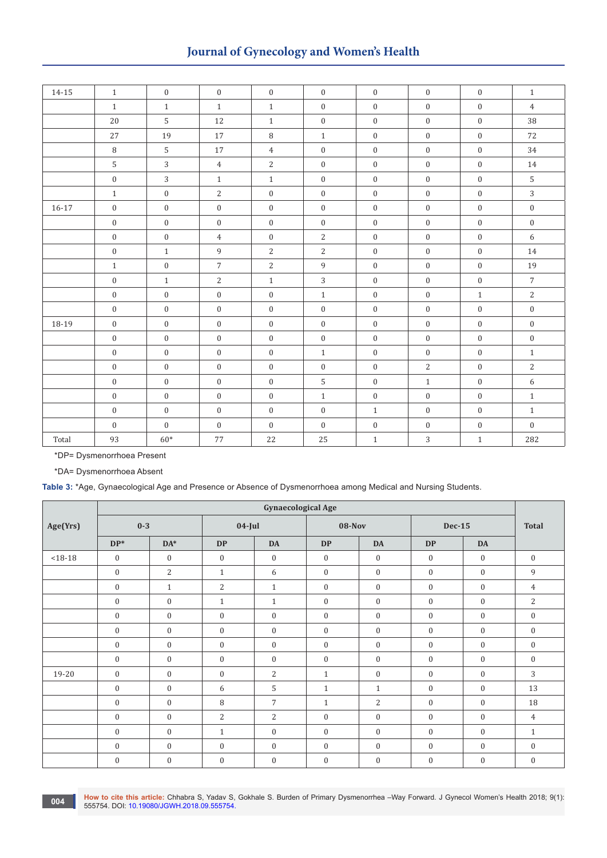# **Journal of Gynecology and Women's Health**

| 14-15     | $\mathbf{1}$     | $\overline{0}$   | $\mathbf{0}$     | $\mathbf{0}$     | $\overline{0}$   | $\mathbf{0}$     | $\mathbf{0}$     | $\mathbf{0}$     | $\mathbf{1}$     |
|-----------|------------------|------------------|------------------|------------------|------------------|------------------|------------------|------------------|------------------|
|           | $\mathbf{1}$     | $\mathbf{1}$     | $\mathbf{1}$     | $\mathbf{1}$     | $\boldsymbol{0}$ | $\mathbf{0}$     | $\mathbf{0}$     | $\mathbf{0}$     | $\overline{4}$   |
|           | 20               | 5                | 12               | $\mathbf{1}$     | $\boldsymbol{0}$ | $\mathbf{0}$     | $\mathbf{0}$     | $\mathbf{0}$     | 38               |
|           | $27\,$           | 19               | $17\,$           | $\, 8$           | $\mathbf{1}$     | $\boldsymbol{0}$ | $\boldsymbol{0}$ | $\mathbf{0}$     | $72\,$           |
|           | $\, 8$           | $\mathsf S$      | $17\,$           | $\overline{4}$   | $\boldsymbol{0}$ | $\boldsymbol{0}$ | $\boldsymbol{0}$ | $\mathbf{0}$     | $34\,$           |
|           | $\sqrt{5}$       | $\mathbf{3}$     | $\overline{4}$   | $\overline{2}$   | $\boldsymbol{0}$ | $\boldsymbol{0}$ | $\boldsymbol{0}$ | $\mathbf{0}$     | $14\,$           |
|           | $\boldsymbol{0}$ | $\overline{3}$   | $\mathbf{1}$     | $\mathbf{1}$     | $\boldsymbol{0}$ | $\mathbf{0}$     | $\mathbf{0}$     | $\mathbf{0}$     | $\sqrt{5}$       |
|           | $1\,$            | $\mathbf{0}$     | $\sqrt{2}$       | $\boldsymbol{0}$ | $\boldsymbol{0}$ | $\mathbf{0}$     | $\mathbf{0}$     | $\mathbf{0}$     | $\sqrt{3}$       |
| $16 - 17$ | $\boldsymbol{0}$ | $\mathbf{0}$     | $\boldsymbol{0}$ | $\boldsymbol{0}$ | $\boldsymbol{0}$ | $\boldsymbol{0}$ | $\boldsymbol{0}$ | $\boldsymbol{0}$ | $\boldsymbol{0}$ |
|           | $\boldsymbol{0}$ | $\mathbf{0}$     | $\mathbf{0}$     | $\boldsymbol{0}$ | $\boldsymbol{0}$ | $\boldsymbol{0}$ | $\boldsymbol{0}$ | $\mathbf{0}$     | $\boldsymbol{0}$ |
|           | $\boldsymbol{0}$ | $\boldsymbol{0}$ | $\overline{4}$   | $\boldsymbol{0}$ | $\sqrt{2}$       | $\boldsymbol{0}$ | $\boldsymbol{0}$ | $\boldsymbol{0}$ | 6                |
|           | $\boldsymbol{0}$ | $\mathbf{1}$     | $\,9$            | $\overline{2}$   | $\sqrt{2}$       | $\boldsymbol{0}$ | $\mathbf{0}$     | $\mathbf{0}$     | $14\,$           |
|           | $\,1\,$          | $\mathbf{0}$     | $\overline{7}$   | $\overline{2}$   | $\,9$            | $\boldsymbol{0}$ | $\boldsymbol{0}$ | $\boldsymbol{0}$ | 19               |
|           | $\boldsymbol{0}$ | $\mathbf{1}$     | $\sqrt{2}$       | $\mathbf{1}$     | $\overline{3}$   | $\boldsymbol{0}$ | $\boldsymbol{0}$ | $\mathbf{0}$     | $\overline{7}$   |
|           | $\boldsymbol{0}$ | $\boldsymbol{0}$ | $\boldsymbol{0}$ | $\boldsymbol{0}$ | $\,1\,$          | $\boldsymbol{0}$ | $\boldsymbol{0}$ | $1\,$            | $\mathbf{2}$     |
|           | $\boldsymbol{0}$ | $\mathbf{0}$     | $\boldsymbol{0}$ | $\mathbf{0}$     | $\boldsymbol{0}$ | $\boldsymbol{0}$ | $\boldsymbol{0}$ | $\mathbf{0}$     | $\boldsymbol{0}$ |
| 18-19     | $\boldsymbol{0}$ | $\mathbf{0}$     | $\mathbf{0}$     | $\boldsymbol{0}$ | $\boldsymbol{0}$ | $\boldsymbol{0}$ | $\mathbf{0}$     | $\mathbf{0}$     | $\boldsymbol{0}$ |
|           | $\mathbf{0}$     | $\mathbf{0}$     | $\boldsymbol{0}$ | $\mathbf{0}$     | $\boldsymbol{0}$ | $\boldsymbol{0}$ | $\mathbf{0}$     | $\mathbf{0}$     | $\boldsymbol{0}$ |
|           | $\boldsymbol{0}$ | $\overline{0}$   | $\mathbf{0}$     | $\boldsymbol{0}$ | $\mathbf{1}$     | $\mathbf{0}$     | $\mathbf{0}$     | $\mathbf{0}$     | $\mathbf{1}$     |
|           | $\boldsymbol{0}$ | $\overline{0}$   | $\mathbf{0}$     | $\mathbf{0}$     | $\boldsymbol{0}$ | $\boldsymbol{0}$ | $\sqrt{2}$       | $\mathbf{0}$     | $\sqrt{2}$       |
|           | $\boldsymbol{0}$ | $\boldsymbol{0}$ | $\boldsymbol{0}$ | $\boldsymbol{0}$ | 5                | $\boldsymbol{0}$ | $\,1\,$          | $\mathbf{0}$     | 6                |
|           | $\boldsymbol{0}$ | $\mathbf{0}$     | $\mathbf{0}$     | $\mathbf{0}$     | $\,1\,$          | $\boldsymbol{0}$ | $\mathbf{0}$     | $\mathbf{0}$     | $\,1$            |
|           | $\boldsymbol{0}$ | $\mathbf{0}$     | $\mathbf{0}$     | $\mathbf{0}$     | $\mathbf{0}$     | $\mathbf{1}$     | $\mathbf{0}$     | $\mathbf{0}$     | $\mathbf{1}$     |
|           | $\mathbf{0}$     | $\overline{0}$   | $\mathbf{0}$     | $\overline{0}$   | $\mathbf{0}$     | $\boldsymbol{0}$ | $\overline{0}$   | $\mathbf{0}$     | $\overline{0}$   |
| Total     | 93               | $60\mathrm{*}$   | 77               | 22               | 25               | $\mathbf{1}$     | $\overline{3}$   | $\mathbf{1}$     | 282              |

\*DP= Dysmenorrhoea Present

\*DA= Dysmenorrhoea Absent

**Table 3:** \*Age, Gynaecological Age and Presence or Absence of Dysmenorrhoea among Medical and Nursing Students.

|             |                  |                  |                  | <b>Gynaecological Age</b> |                  |                  |                  |              |                  |
|-------------|------------------|------------------|------------------|---------------------------|------------------|------------------|------------------|--------------|------------------|
| Age(Yrs)    | $0 - 3$          |                  | $04$ -Jul        |                           | <b>08-Nov</b>    |                  | Dec-15           |              | <b>Total</b>     |
|             | $DP*$            | $DA*$            | <b>DP</b>        | <b>DA</b>                 | <b>DP</b>        | <b>DA</b>        | <b>DP</b>        | <b>DA</b>    |                  |
| $< 18 - 18$ | $\mathbf{0}$     | $\boldsymbol{0}$ | $\mathbf{0}$     | $\mathbf{0}$              | $\mathbf{0}$     | $\mathbf{0}$     | $\mathbf{0}$     | $\mathbf{0}$ | $\mathbf{0}$     |
|             | $\boldsymbol{0}$ | 2                | $\mathbf{1}$     | 6                         | $\mathbf{0}$     | $\boldsymbol{0}$ | $\mathbf{0}$     | $\mathbf{0}$ | 9                |
|             | $\mathbf{0}$     | $\mathbf{1}$     | 2                | $\mathbf{1}$              | $\mathbf{0}$     | $\mathbf{0}$     | $\mathbf{0}$     | $\mathbf{0}$ | 4                |
|             | $\boldsymbol{0}$ | $\boldsymbol{0}$ | $\mathbf{1}$     | $\mathbf{1}$              | $\boldsymbol{0}$ | $\boldsymbol{0}$ | $\boldsymbol{0}$ | $\mathbf{0}$ | $\overline{2}$   |
|             | $\boldsymbol{0}$ | $\boldsymbol{0}$ | $\boldsymbol{0}$ | $\boldsymbol{0}$          | $\boldsymbol{0}$ | $\boldsymbol{0}$ | $\boldsymbol{0}$ | $\mathbf{0}$ | $\boldsymbol{0}$ |
|             | $\boldsymbol{0}$ | $\boldsymbol{0}$ | $\mathbf{0}$     | $\mathbf{0}$              | $\boldsymbol{0}$ | $\mathbf{0}$     | $\boldsymbol{0}$ | $\mathbf{0}$ | $\mathbf{0}$     |
|             | $\boldsymbol{0}$ | $\boldsymbol{0}$ | $\mathbf{0}$     | $\mathbf{0}$              | $\boldsymbol{0}$ | $\mathbf{0}$     | $\mathbf{0}$     | $\mathbf{0}$ | $\mathbf{0}$     |
|             | $\boldsymbol{0}$ | $\boldsymbol{0}$ | $\boldsymbol{0}$ | $\mathbf{0}$              | $\boldsymbol{0}$ | $\mathbf{0}$     | $\boldsymbol{0}$ | $\mathbf{0}$ | $\mathbf{0}$     |
| 19-20       | $\boldsymbol{0}$ | $\boldsymbol{0}$ | $\mathbf{0}$     | 2                         | $\mathbf{1}$     | $\mathbf{0}$     | $\boldsymbol{0}$ | $\mathbf{0}$ | 3                |
|             | $\boldsymbol{0}$ | $\boldsymbol{0}$ | 6                | 5                         | $\mathbf{1}$     | $\mathbf{1}$     | $\boldsymbol{0}$ | $\mathbf{0}$ | 13               |
|             | $\boldsymbol{0}$ | $\boldsymbol{0}$ | 8                | $\overline{7}$            | $\mathbf{1}$     | $\overline{c}$   | $\boldsymbol{0}$ | $\mathbf{0}$ | 18               |
|             | $\boldsymbol{0}$ | $\boldsymbol{0}$ | $\overline{2}$   | $\overline{2}$            | $\mathbf{0}$     | $\mathbf{0}$     | $\boldsymbol{0}$ | $\mathbf{0}$ | $\overline{4}$   |
|             | $\mathbf{0}$     | $\mathbf{0}$     | $\mathbf{1}$     | $\mathbf{0}$              | $\mathbf{0}$     | $\mathbf{0}$     | $\mathbf{0}$     | $\mathbf{0}$ | $\mathbf{1}$     |
|             | $\boldsymbol{0}$ | $\boldsymbol{0}$ | $\mathbf{0}$     | $\mathbf{0}$              | $\boldsymbol{0}$ | $\boldsymbol{0}$ | $\mathbf{0}$     | $\mathbf{0}$ | $\boldsymbol{0}$ |
|             | $\boldsymbol{0}$ | $\boldsymbol{0}$ | $\boldsymbol{0}$ | $\mathbf{0}$              | $\boldsymbol{0}$ | $\boldsymbol{0}$ | $\boldsymbol{0}$ | $\mathbf{0}$ | $\mathbf{0}$     |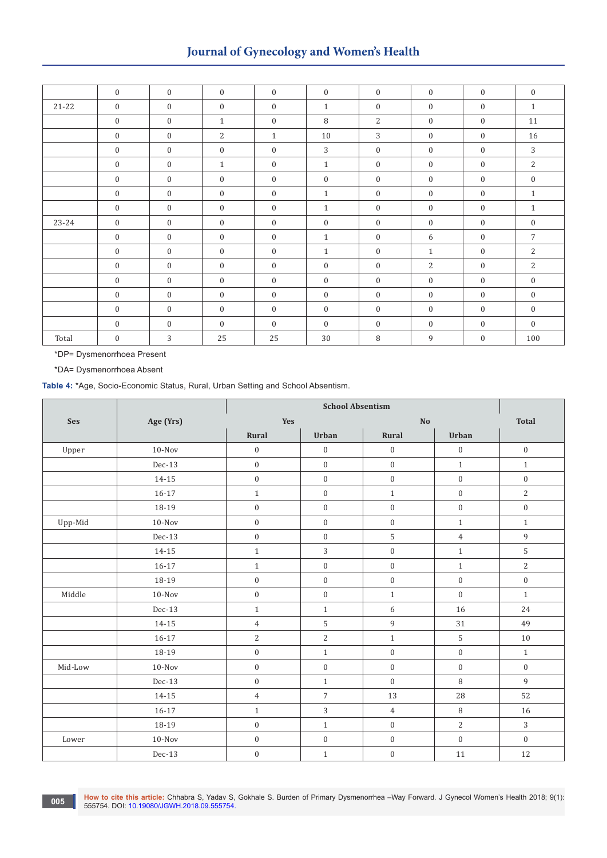# **Journal of Gynecology and Women's Health**

|           | $\mathbf{0}$     | $\mathbf{0}$     | $\mathbf{0}$     | $\mathbf{0}$     | $\mathbf{0}$     | $\overline{0}$   | $\boldsymbol{0}$ | $\mathbf{0}$ | $\mathbf{0}$     |
|-----------|------------------|------------------|------------------|------------------|------------------|------------------|------------------|--------------|------------------|
| $21 - 22$ | $\mathbf{0}$     | $\mathbf{0}$     | $\mathbf{0}$     | $\mathbf{0}$     | $\mathbf{1}$     | $\mathbf{0}$     | $\mathbf{0}$     | $\mathbf{0}$ | $\mathbf{1}$     |
|           | $\overline{0}$   | $\boldsymbol{0}$ | $\mathbf{1}$     | $\overline{0}$   | 8                | 2                | $\mathbf{0}$     | $\mathbf{0}$ | 11               |
|           | $\mathbf{0}$     | $\boldsymbol{0}$ | $\overline{2}$   | $\mathbf{1}$     | 10               | 3                | $\boldsymbol{0}$ | $\mathbf{0}$ | 16               |
|           | $\mathbf{0}$     | $\boldsymbol{0}$ | $\overline{0}$   | $\boldsymbol{0}$ | 3                | $\mathbf{0}$     | $\mathbf{0}$     | $\mathbf{0}$ | 3                |
|           | $\boldsymbol{0}$ | $\boldsymbol{0}$ | $\mathbf{1}$     | $\mathbf{0}$     | $\mathbf{1}$     | $\mathbf{0}$     | $\boldsymbol{0}$ | $\mathbf{0}$ | $\overline{c}$   |
|           | $\boldsymbol{0}$ | $\boldsymbol{0}$ | $\mathbf{0}$     | $\mathbf{0}$     | $\boldsymbol{0}$ | $\boldsymbol{0}$ | $\boldsymbol{0}$ | $\mathbf{0}$ | $\boldsymbol{0}$ |
|           | $\boldsymbol{0}$ | $\boldsymbol{0}$ | $\boldsymbol{0}$ | $\mathbf{0}$     | $\mathbf{1}$     | $\mathbf{0}$     | $\boldsymbol{0}$ | $\mathbf{0}$ | $\mathbf{1}$     |
|           | $\mathbf{0}$     | $\boldsymbol{0}$ | $\boldsymbol{0}$ | $\mathbf{0}$     | $\mathbf{1}$     | $\overline{0}$   | $\boldsymbol{0}$ | $\mathbf{0}$ | $\mathbf{1}$     |
| 23-24     | $\overline{0}$   | $\boldsymbol{0}$ | $\boldsymbol{0}$ | $\mathbf{0}$     | $\boldsymbol{0}$ | $\mathbf{0}$     | $\boldsymbol{0}$ | $\mathbf{0}$ | $\mathbf{0}$     |
|           | $\mathbf{0}$     | $\boldsymbol{0}$ | $\mathbf{0}$     | $\mathbf{0}$     | $\mathbf{1}$     | $\overline{0}$   | 6                | $\mathbf{0}$ | $\overline{7}$   |
|           | $\mathbf{0}$     | $\boldsymbol{0}$ | $\mathbf{0}$     | $\mathbf{0}$     | $\mathbf{1}$     | $\overline{0}$   | $\mathbf{1}$     | $\mathbf{0}$ | 2                |
|           | $\mathbf{0}$     | $\boldsymbol{0}$ | $\boldsymbol{0}$ | $\mathbf{0}$     | $\mathbf{0}$     | $\overline{0}$   | $\overline{2}$   | $\mathbf{0}$ | 2                |
|           | $\mathbf{0}$     | $\mathbf{0}$     | $\mathbf{0}$     | $\overline{0}$   | $\mathbf{0}$     | $\mathbf{0}$     | $\mathbf{0}$     | $\mathbf{0}$ | $\boldsymbol{0}$ |
|           | $\boldsymbol{0}$ | $\boldsymbol{0}$ | $\mathbf{0}$     | $\mathbf{0}$     | $\mathbf{0}$     | $\mathbf{0}$     | $\mathbf{0}$     | $\mathbf{0}$ | $\boldsymbol{0}$ |
|           | $\mathbf{0}$     | $\boldsymbol{0}$ | $\boldsymbol{0}$ | $\mathbf{0}$     | $\boldsymbol{0}$ | $\mathbf{0}$     | $\boldsymbol{0}$ | $\mathbf{0}$ | $\boldsymbol{0}$ |
|           | $\mathbf{0}$     | $\mathbf{0}$     | $\mathbf{0}$     | $\overline{0}$   | $\mathbf{0}$     | $\mathbf{0}$     | $\boldsymbol{0}$ | $\mathbf{0}$ | $\mathbf{0}$     |
| Total     | $\mathbf{0}$     | 3                | 25               | 25               | 30               | 8                | 9                | $\mathbf{0}$ | 100              |

\*DP= Dysmenorrhoea Present

\*DA= Dysmenorrhoea Absent

**Table 4:** \*Age, Socio-Economic Status, Rural, Urban Setting and School Absentism.

| Ses     | Age (Yrs) | Yes              |                  | $\mathbf{N}\mathbf{O}$ |                  | <b>Total</b>     |
|---------|-----------|------------------|------------------|------------------------|------------------|------------------|
|         |           | Rural            | Urban            | Rural                  | Urban            |                  |
| Upper   | $10-Nov$  | $\boldsymbol{0}$ | $\boldsymbol{0}$ | $\boldsymbol{0}$       | $\boldsymbol{0}$ | $\boldsymbol{0}$ |
|         | Dec-13    | $\boldsymbol{0}$ | $\boldsymbol{0}$ | $\boldsymbol{0}$       | $1\,$            | $\,1\,$          |
|         | 14-15     | $\boldsymbol{0}$ | $\boldsymbol{0}$ | $\boldsymbol{0}$       | $\boldsymbol{0}$ | $\boldsymbol{0}$ |
|         | $16 - 17$ | $\,1\,$          | $\boldsymbol{0}$ | $\,1\,$                | $\boldsymbol{0}$ | $\overline{2}$   |
|         | 18-19     | $\boldsymbol{0}$ | $\boldsymbol{0}$ | $\boldsymbol{0}$       | $\boldsymbol{0}$ | $\boldsymbol{0}$ |
| Upp-Mid | $10-Nov$  | $\boldsymbol{0}$ | $\boldsymbol{0}$ | $\boldsymbol{0}$       | $\mathbf{1}$     | $1\,$            |
|         | Dec-13    | $\boldsymbol{0}$ | $\boldsymbol{0}$ | 5                      | $\overline{4}$   | $\,9$            |
|         | 14-15     | $\mathbf{1}$     | $\sqrt{3}$       | $\boldsymbol{0}$       | $1\,$            | 5                |
|         | $16 - 17$ | $\mathbf{1}$     | $\boldsymbol{0}$ | $\boldsymbol{0}$       | $1\,$            | $\overline{2}$   |
|         | 18-19     | $\boldsymbol{0}$ | $\boldsymbol{0}$ | $\boldsymbol{0}$       | $\boldsymbol{0}$ | $\boldsymbol{0}$ |
| Middle  | $10-Nov$  | $\boldsymbol{0}$ | $\mathbf{0}$     | $\,1\,$                | $\boldsymbol{0}$ | $\mathbf{1}$     |
|         | Dec-13    | $\,1\,$          | $\mathbf{1}$     | $\boldsymbol{6}$       | 16               | 24               |
|         | $14 - 15$ | $\overline{4}$   | $\mathsf S$      | $\,9$                  | 31               | 49               |
|         | $16 - 17$ | $\sqrt{2}$       | $\sqrt{2}$       | $\mathbf{1}$           | $\sqrt{5}$       | 10               |
|         | 18-19     | $\boldsymbol{0}$ | $\,1\,$          | $\boldsymbol{0}$       | $\boldsymbol{0}$ | $\mathbf{1}$     |
| Mid-Low | $10-Nov$  | $\boldsymbol{0}$ | $\boldsymbol{0}$ | $\boldsymbol{0}$       | $\boldsymbol{0}$ | $\boldsymbol{0}$ |
|         | Dec-13    | $\boldsymbol{0}$ | $\,1\,$          | $\mathbf{0}$           | $\, 8$           | $\overline{9}$   |
|         | 14-15     | $\overline{4}$   | $\boldsymbol{7}$ | $13\,$                 | 28               | 52               |
|         | $16 - 17$ | $\,1\,$          | $\sqrt{3}$       | $\overline{4}$         | $\, 8$           | 16               |
|         | 18-19     | $\boldsymbol{0}$ | $\,1\,$          | $\boldsymbol{0}$       | $\sqrt{2}$       | 3                |
| Lower   | $10-Nov$  | $\boldsymbol{0}$ | $\boldsymbol{0}$ | $\boldsymbol{0}$       | $\boldsymbol{0}$ | $\boldsymbol{0}$ |
|         | Dec-13    | $\boldsymbol{0}$ | $\,1\,$          | $\boldsymbol{0}$       | $11\,$           | 12               |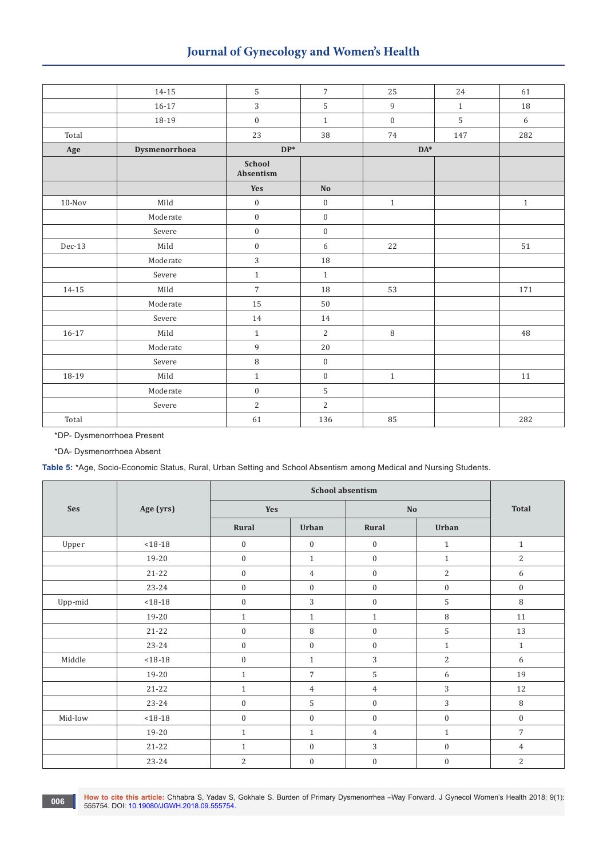# **Journal of Gynecology and Women's Health**

|           | $14 - 15$             | 5                   | $\overline{7}$   | 25               | 24           | 61     |
|-----------|-----------------------|---------------------|------------------|------------------|--------------|--------|
|           | $16 - 17$             | 3                   | $\mathsf S$      | $\,9$            | $\mathbf{1}$ | $18\,$ |
|           | 18-19                 | $\boldsymbol{0}$    | $\,1\,$          | $\boldsymbol{0}$ | 5            | 6      |
| Total     |                       | 23                  | 38               | 74               | 147          | 282    |
| Age       | Dysmenorrhoea         | $DP*$               |                  | $DA^*$           |              |        |
|           |                       | School<br>Absentism |                  |                  |              |        |
|           |                       | Yes                 | N <sub>o</sub>   |                  |              |        |
| $10-Nov$  | $\operatorname{Mild}$ | $\boldsymbol{0}$    | $\boldsymbol{0}$ | $\,1\,$          |              | $1\,$  |
|           | Moderate              | $\boldsymbol{0}$    | $\boldsymbol{0}$ |                  |              |        |
|           | Severe                | $\boldsymbol{0}$    | $\boldsymbol{0}$ |                  |              |        |
| $Dec-13$  | Mild                  | $\boldsymbol{0}$    | 6                | 22               |              | 51     |
|           | Moderate              | 3                   | $18\,$           |                  |              |        |
|           | Severe                | $\,1\,$             | $\mathbf{1}$     |                  |              |        |
| $14 - 15$ | Mild                  | $\boldsymbol{7}$    | 18               | 53               |              | 171    |
|           | Moderate              | 15                  | 50               |                  |              |        |
|           | Severe                | 14                  | 14               |                  |              |        |
| $16 - 17$ | Mild                  | $\,1\,$             | $\overline{2}$   | $\, 8$           |              | 48     |
|           | Moderate              | $\,9$               | $20\,$           |                  |              |        |
|           | Severe                | $\, 8$              | $\boldsymbol{0}$ |                  |              |        |
| 18-19     | $\operatorname{Mild}$ | $\,1\,$             | $\boldsymbol{0}$ | $\mathbf{1}$     |              | $11\,$ |
|           | Moderate              | $\boldsymbol{0}$    | $\mathsf S$      |                  |              |        |
|           | Severe                | $\sqrt{2}$          | $\overline{2}$   |                  |              |        |
| Total     |                       | 61                  | 136              | 85               |              | 282    |

\*DP- Dysmenorrhoea Present

\*DA- Dysmenorrhoea Absent

**Table 5:** \*Age, Socio-Economic Status, Rural, Urban Setting and School Absentism among Medical and Nursing Students.

| Ses     | Age (yrs)   | Yes              |                  | $\mathbf{No}$    | <b>Total</b>     |                  |
|---------|-------------|------------------|------------------|------------------|------------------|------------------|
|         |             | Rural            | Urban            | Rural            | Urban            |                  |
| Upper   | $< 18 - 18$ | $\boldsymbol{0}$ | $\boldsymbol{0}$ | $\boldsymbol{0}$ | $\mathbf{1}$     | $\mathbf{1}$     |
|         | 19-20       | $\mathbf{0}$     | $1\,$            | $\boldsymbol{0}$ | $\mathbf{1}$     | 2                |
|         | $21 - 22$   | $\mathbf{0}$     | $\overline{4}$   | $\boldsymbol{0}$ | $\overline{2}$   | 6                |
|         | 23-24       | $\boldsymbol{0}$ | $\boldsymbol{0}$ | $\boldsymbol{0}$ | $\boldsymbol{0}$ | $\boldsymbol{0}$ |
| Upp-mid | $< 18 - 18$ | $\mathbf{0}$     | 3                | $\boldsymbol{0}$ | 5                | 8                |
|         | 19-20       | $\mathbf{1}$     | $\mathbf{1}$     | $\mathbf{1}$     | $\, 8$           | 11               |
|         | $21 - 22$   | $\boldsymbol{0}$ | 8                | $\boldsymbol{0}$ | 5                | 13               |
|         | 23-24       | $\mathbf{0}$     | $\boldsymbol{0}$ | $\mathbf{0}$     | $\mathbf{1}$     | $1\,$            |
| Middle  | $< 18 - 18$ | $\boldsymbol{0}$ | $1\,$            | 3                | $\overline{2}$   | 6                |
|         | 19-20       | $\mathbf{1}$     | $\overline{7}$   | $\mathsf S$      | 6                | 19               |
|         | $21 - 22$   | $\mathbf{1}$     | $\overline{4}$   | $\overline{4}$   | 3                | 12               |
|         | $23 - 24$   | $\mathbf{0}$     | 5                | $\boldsymbol{0}$ | 3                | 8                |
| Mid-low | $< 18 - 18$ | $\boldsymbol{0}$ | $\boldsymbol{0}$ | $\boldsymbol{0}$ | $\boldsymbol{0}$ | $\boldsymbol{0}$ |
|         | 19-20       | $\mathbf{1}$     | $\mathbf{1}$     | $\overline{4}$   | $\mathbf{1}$     | $\overline{7}$   |
|         | $21 - 22$   | $\mathbf{1}$     | $\mathbf{0}$     | 3                | $\boldsymbol{0}$ | 4                |
|         | 23-24       | $\overline{2}$   | $\boldsymbol{0}$ | $\boldsymbol{0}$ | $\boldsymbol{0}$ | $\overline{2}$   |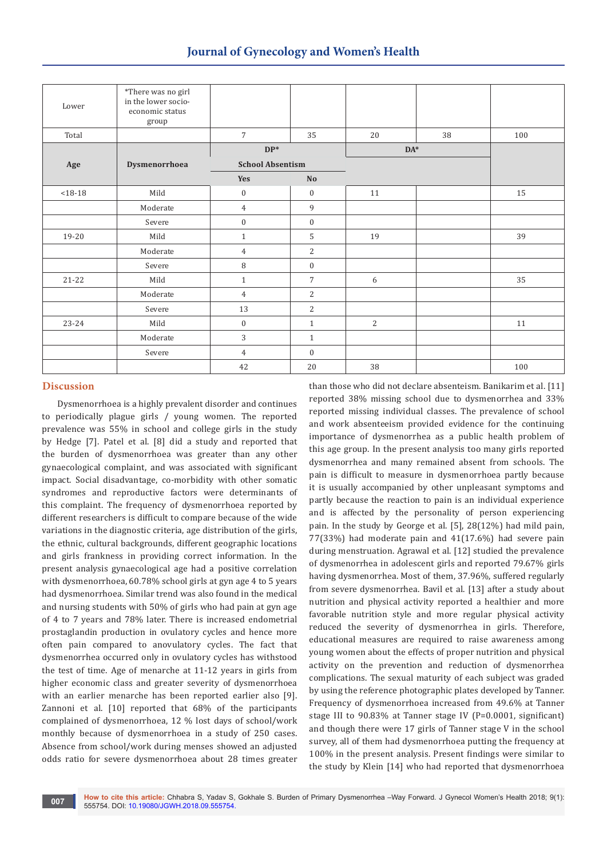| Lower       | *There was no girl<br>in the lower socio-<br>economic status<br>group |                         |                  |                |    |     |
|-------------|-----------------------------------------------------------------------|-------------------------|------------------|----------------|----|-----|
| Total       |                                                                       | $\overline{7}$          | 35               | 20             | 38 | 100 |
|             |                                                                       | $\mathbf{DP}^*$         |                  | $DA^*$         |    |     |
| Age         | Dysmenorrhoea                                                         | <b>School Absentism</b> |                  |                |    |     |
|             |                                                                       | Yes                     | No               |                |    |     |
| $< 18 - 18$ | Mild                                                                  | $\boldsymbol{0}$        | $\boldsymbol{0}$ | 11             |    | 15  |
|             | Moderate                                                              | $\overline{4}$          | $\,9$            |                |    |     |
|             | Severe                                                                | $\boldsymbol{0}$        | $\mathbf{0}$     |                |    |     |
| 19-20       | Mild                                                                  | $\mathbf{1}$            | 5                | 19             |    | 39  |
|             | Moderate                                                              | $\overline{4}$          | 2                |                |    |     |
|             | Severe                                                                | $\, 8$                  | $\mathbf{0}$     |                |    |     |
| $21 - 22$   | Mild                                                                  | $\mathbf{1}$            | $\overline{7}$   | 6              |    | 35  |
|             | Moderate                                                              | $\overline{4}$          | $\overline{2}$   |                |    |     |
|             | Severe                                                                | 13                      | $\overline{2}$   |                |    |     |
| 23-24       | Mild                                                                  | $\boldsymbol{0}$        | $\mathbf{1}$     | $\overline{2}$ |    | 11  |
|             | Moderate                                                              | 3                       | $\mathbf{1}$     |                |    |     |
|             | Severe                                                                | $\overline{4}$          | $\mathbf{0}$     |                |    |     |
|             |                                                                       | 42                      | 20               | 38             |    | 100 |

### **Discussion**

Dysmenorrhoea is a highly prevalent disorder and continues to periodically plague girls / young women. The reported prevalence was 55% in school and college girls in the study by Hedge [7]. Patel et al. [8] did a study and reported that the burden of dysmenorrhoea was greater than any other gynaecological complaint, and was associated with significant impact. Social disadvantage, co-morbidity with other somatic syndromes and reproductive factors were determinants of this complaint. The frequency of dysmenorrhoea reported by different researchers is difficult to compare because of the wide variations in the diagnostic criteria, age distribution of the girls, the ethnic, cultural backgrounds, different geographic locations and girls frankness in providing correct information. In the present analysis gynaecological age had a positive correlation with dysmenorrhoea, 60.78% school girls at gyn age 4 to 5 years had dysmenorrhoea. Similar trend was also found in the medical and nursing students with 50% of girls who had pain at gyn age of 4 to 7 years and 78% later. There is increased endometrial prostaglandin production in ovulatory cycles and hence more often pain compared to anovulatory cycles. The fact that dysmenorrhea occurred only in ovulatory cycles has withstood the test of time. Age of menarche at 11-12 years in girls from higher economic class and greater severity of dysmenorrhoea with an earlier menarche has been reported earlier also [9]. Zannoni et al. [10] reported that 68% of the participants complained of dysmenorrhoea, 12 % lost days of school/work monthly because of dysmenorrhoea in a study of 250 cases. Absence from school/work during menses showed an adjusted odds ratio for severe dysmenorrhoea about 28 times greater

than those who did not declare absenteism. Banikarim et al. [11] reported 38% missing school due to dysmenorrhea and 33% reported missing individual classes. The prevalence of school and work absenteeism provided evidence for the continuing importance of dysmenorrhea as a public health problem of this age group. In the present analysis too many girls reported dysmenorrhea and many remained absent from schools. The pain is difficult to measure in dysmenorrhoea partly because it is usually accompanied by other unpleasant symptoms and partly because the reaction to pain is an individual experience and is affected by the personality of person experiencing pain. In the study by George et al. [5], 28(12%) had mild pain, 77(33%) had moderate pain and 41(17.6%) had severe pain during menstruation. Agrawal et al. [12] studied the prevalence of dysmenorrhea in adolescent girls and reported 79.67% girls having dysmenorrhea. Most of them, 37.96%, suffered regularly from severe dysmenorrhea. Bavil et al. [13] after a study about nutrition and physical activity reported a healthier and more favorable nutrition style and more regular physical activity reduced the severity of dysmenorrhea in girls. Therefore, educational measures are required to raise awareness among young women about the effects of proper nutrition and physical activity on the prevention and reduction of dysmenorrhea complications. The sexual maturity of each subject was graded by using the reference photographic plates developed by Tanner. Frequency of dysmenorrhoea increased from 49.6% at Tanner stage III to 90.83% at Tanner stage IV (P=0.0001, significant) and though there were 17 girls of Tanner stage V in the school survey, all of them had dysmenorrhoea putting the frequency at 100% in the present analysis. Present findings were similar to the study by Klein [14] who had reported that dysmenorrhoea